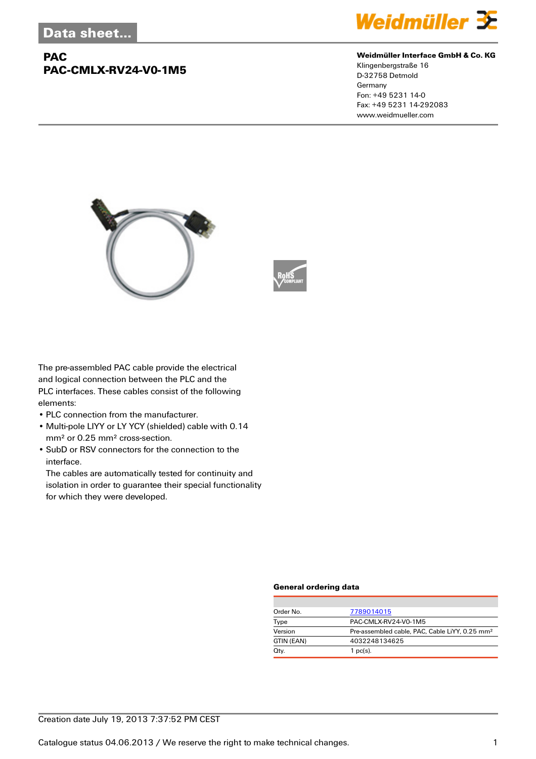## **PAC PAC-CMLX-RV24-V0-1M5**



#### **Weidmüller Interface GmbH & Co. KG**

Klingenbergstraße 16 D-32758 Detmold Germany Fon: +49 5231 14-0 Fax: +49 5231 14-292083 www.weidmueller.com





The pre-assembled PAC cable provide the electrical and logical connection between the PLC and the PLC interfaces. These cables consist of the following elements:

- PLC connection from the manufacturer.
- Multi-pole LIYY or LY YCY (shielded) cable with 0.14 mm² or 0.25 mm² cross-section.
- SubD or RSV connectors for the connection to the interface.

The cables are automatically tested for continuity and isolation in order to guarantee their special functionality for which they were developed.

#### **General ordering data**

| Order No.  | 7789014015                                                 |
|------------|------------------------------------------------------------|
| Type       | PAC-CMLX-RV24-V0-1M5                                       |
| Version    | Pre-assembled cable, PAC, Cable LiYY, 0.25 mm <sup>2</sup> |
| GTIN (EAN) | 4032248134625                                              |
| Qty.       | $1$ pc(s).                                                 |